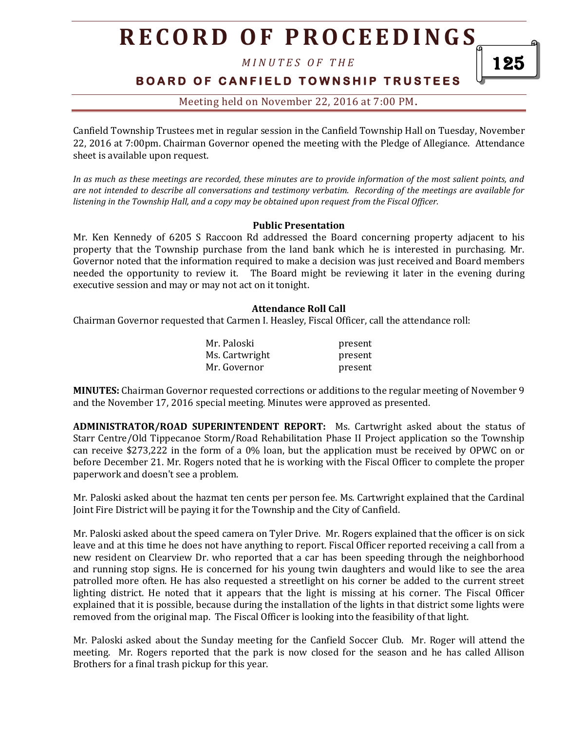# **R E C O R D O F P R O C E E D I N GS**

*M I N U T E S O F T H E* 

## **BOARD OF CANFIELD TOWNSHIP TRUSTEES**

Meeting held on November 22, 2016 at 7:00 PM**.**

Canfield Township Trustees met in regular session in the Canfield Township Hall on Tuesday, November 22, 2016 at 7:00pm. Chairman Governor opened the meeting with the Pledge of Allegiance. Attendance sheet is available upon request.

*In as much as these meetings are recorded, these minutes are to provide information of the most salient points, and are not intended to describe all conversations and testimony verbatim. Recording of the meetings are available for listening in the Township Hall, and a copy may be obtained upon request from the Fiscal Officer.* 

#### **Public Presentation**

Mr. Ken Kennedy of 6205 S Raccoon Rd addressed the Board concerning property adjacent to his property that the Township purchase from the land bank which he is interested in purchasing. Mr. Governor noted that the information required to make a decision was just received and Board members needed the opportunity to review it. The Board might be reviewing it later in the evening during executive session and may or may not act on it tonight.

#### **Attendance Roll Call**

Chairman Governor requested that Carmen I. Heasley, Fiscal Officer, call the attendance roll:

| Mr. Paloski    | present |
|----------------|---------|
| Ms. Cartwright | present |
| Mr. Governor   | present |

**MINUTES:** Chairman Governor requested corrections or additions to the regular meeting of November 9 and the November 17, 2016 special meeting. Minutes were approved as presented.

**ADMINISTRATOR/ROAD SUPERINTENDENT REPORT:** Ms. Cartwright asked about the status of Starr Centre/Old Tippecanoe Storm/Road Rehabilitation Phase II Project application so the Township can receive \$273,222 in the form of a 0% loan, but the application must be received by OPWC on or before December 21. Mr. Rogers noted that he is working with the Fiscal Officer to complete the proper paperwork and doesn't see a problem.

Mr. Paloski asked about the hazmat ten cents per person fee. Ms. Cartwright explained that the Cardinal Joint Fire District will be paying it for the Township and the City of Canfield.

Mr. Paloski asked about the speed camera on Tyler Drive. Mr. Rogers explained that the officer is on sick leave and at this time he does not have anything to report. Fiscal Officer reported receiving a call from a new resident on Clearview Dr. who reported that a car has been speeding through the neighborhood and running stop signs. He is concerned for his young twin daughters and would like to see the area patrolled more often. He has also requested a streetlight on his corner be added to the current street lighting district. He noted that it appears that the light is missing at his corner. The Fiscal Officer explained that it is possible, because during the installation of the lights in that district some lights were removed from the original map. The Fiscal Officer is looking into the feasibility of that light.

Mr. Paloski asked about the Sunday meeting for the Canfield Soccer Club. Mr. Roger will attend the meeting. Mr. Rogers reported that the park is now closed for the season and he has called Allison Brothers for a final trash pickup for this year.

125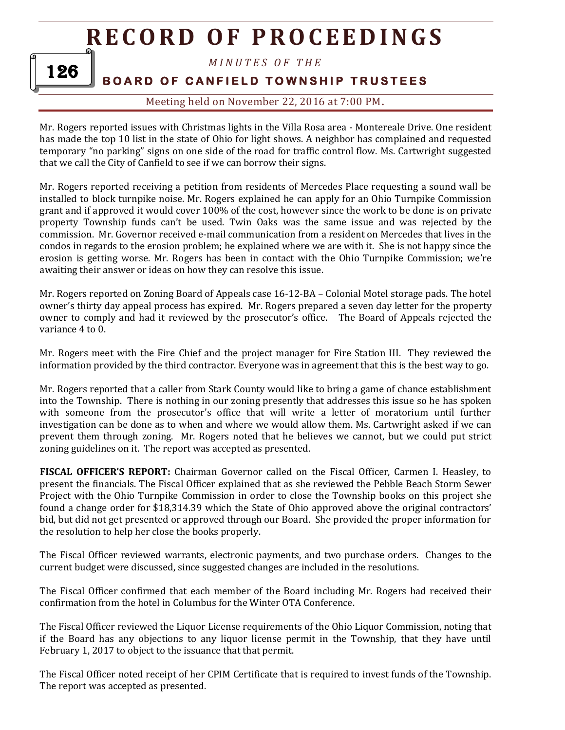# **R E C O RD O F P R O C E E D I N G S**



## *M I N U T E S O F T H E*

## **BOARD OF CANFIELD TOWNSHIP TRUSTEES**

Meeting held on November 22, 2016 at 7:00 PM**.**

Mr. Rogers reported issues with Christmas lights in the Villa Rosa area - Montereale Drive. One resident has made the top 10 list in the state of Ohio for light shows. A neighbor has complained and requested temporary "no parking" signs on one side of the road for traffic control flow. Ms. Cartwright suggested that we call the City of Canfield to see if we can borrow their signs.

Mr. Rogers reported receiving a petition from residents of Mercedes Place requesting a sound wall be installed to block turnpike noise. Mr. Rogers explained he can apply for an Ohio Turnpike Commission grant and if approved it would cover 100% of the cost, however since the work to be done is on private property Township funds can't be used. Twin Oaks was the same issue and was rejected by the commission. Mr. Governor received e-mail communication from a resident on Mercedes that lives in the condos in regards to the erosion problem; he explained where we are with it. She is not happy since the erosion is getting worse. Mr. Rogers has been in contact with the Ohio Turnpike Commission; we're awaiting their answer or ideas on how they can resolve this issue.

Mr. Rogers reported on Zoning Board of Appeals case 16-12-BA – Colonial Motel storage pads. The hotel owner's thirty day appeal process has expired. Mr. Rogers prepared a seven day letter for the property owner to comply and had it reviewed by the prosecutor's office. The Board of Appeals rejected the variance 4 to 0.

Mr. Rogers meet with the Fire Chief and the project manager for Fire Station III. They reviewed the information provided by the third contractor. Everyone was in agreement that this is the best way to go.

Mr. Rogers reported that a caller from Stark County would like to bring a game of chance establishment into the Township. There is nothing in our zoning presently that addresses this issue so he has spoken with someone from the prosecutor's office that will write a letter of moratorium until further investigation can be done as to when and where we would allow them. Ms. Cartwright asked if we can prevent them through zoning. Mr. Rogers noted that he believes we cannot, but we could put strict zoning guidelines on it. The report was accepted as presented.

**FISCAL OFFICER'S REPORT:** Chairman Governor called on the Fiscal Officer, Carmen I. Heasley, to present the financials. The Fiscal Officer explained that as she reviewed the Pebble Beach Storm Sewer Project with the Ohio Turnpike Commission in order to close the Township books on this project she found a change order for \$18,314.39 which the State of Ohio approved above the original contractors' bid, but did not get presented or approved through our Board. She provided the proper information for the resolution to help her close the books properly.

The Fiscal Officer reviewed warrants, electronic payments, and two purchase orders. Changes to the current budget were discussed, since suggested changes are included in the resolutions.

The Fiscal Officer confirmed that each member of the Board including Mr. Rogers had received their confirmation from the hotel in Columbus for the Winter OTA Conference.

The Fiscal Officer reviewed the Liquor License requirements of the Ohio Liquor Commission, noting that if the Board has any objections to any liquor license permit in the Township, that they have until February 1, 2017 to object to the issuance that that permit.

The Fiscal Officer noted receipt of her CPIM Certificate that is required to invest funds of the Township. The report was accepted as presented.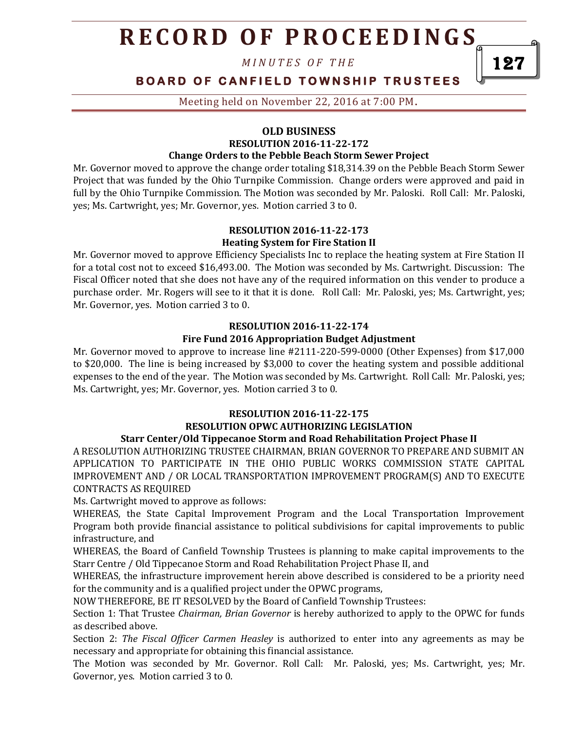# **R E C O R D O F P R O C E E D I N GS**

*M I N U T E S O F T H E* 

## **BOARD OF CANFIELD TOWNSHIP TRUSTEES**

Meeting held on November 22, 2016 at 7:00 PM**.**

### **OLD BUSINESS**

#### **RESOLUTION 2016-11-22-172**

#### **Change Orders to the Pebble Beach Storm Sewer Project**

Mr. Governor moved to approve the change order totaling \$18,314.39 on the Pebble Beach Storm Sewer Project that was funded by the Ohio Turnpike Commission. Change orders were approved and paid in full by the Ohio Turnpike Commission. The Motion was seconded by Mr. Paloski. Roll Call: Mr. Paloski, yes; Ms. Cartwright, yes; Mr. Governor, yes. Motion carried 3 to 0.

#### **RESOLUTION 2016-11-22-173 Heating System for Fire Station II**

Mr. Governor moved to approve Efficiency Specialists Inc to replace the heating system at Fire Station II for a total cost not to exceed \$16,493.00. The Motion was seconded by Ms. Cartwright. Discussion: The Fiscal Officer noted that she does not have any of the required information on this vender to produce a purchase order. Mr. Rogers will see to it that it is done. Roll Call: Mr. Paloski, yes; Ms. Cartwright, yes; Mr. Governor, yes. Motion carried 3 to 0.

## **RESOLUTION 2016-11-22-174**

## **Fire Fund 2016 Appropriation Budget Adjustment**

Mr. Governor moved to approve to increase line #2111-220-599-0000 (Other Expenses) from \$17,000 to \$20,000. The line is being increased by \$3,000 to cover the heating system and possible additional expenses to the end of the year. The Motion was seconded by Ms. Cartwright. Roll Call: Mr. Paloski, yes; Ms. Cartwright, yes; Mr. Governor, yes. Motion carried 3 to 0.

## **RESOLUTION 2016-11-22-175 RESOLUTION OPWC AUTHORIZING LEGISLATION**

#### **Starr Center/Old Tippecanoe Storm and Road Rehabilitation Project Phase II**

A RESOLUTION AUTHORIZING TRUSTEE CHAIRMAN, BRIAN GOVERNOR TO PREPARE AND SUBMIT AN APPLICATION TO PARTICIPATE IN THE OHIO PUBLIC WORKS COMMISSION STATE CAPITAL IMPROVEMENT AND / OR LOCAL TRANSPORTATION IMPROVEMENT PROGRAM(S) AND TO EXECUTE CONTRACTS AS REQUIRED

Ms. Cartwright moved to approve as follows:

WHEREAS, the State Capital Improvement Program and the Local Transportation Improvement Program both provide financial assistance to political subdivisions for capital improvements to public infrastructure, and

WHEREAS, the Board of Canfield Township Trustees is planning to make capital improvements to the Starr Centre / Old Tippecanoe Storm and Road Rehabilitation Project Phase II, and

WHEREAS, the infrastructure improvement herein above described is considered to be a priority need for the community and is a qualified project under the OPWC programs,

NOW THEREFORE, BE IT RESOLVED by the Board of Canfield Township Trustees:

Section 1: That Trustee *Chairman, Brian Governor* is hereby authorized to apply to the OPWC for funds as described above.

Section 2: *The Fiscal Officer Carmen Heasley* is authorized to enter into any agreements as may be necessary and appropriate for obtaining this financial assistance.

The Motion was seconded by Mr. Governor. Roll Call: Mr. Paloski, yes; Ms. Cartwright, yes; Mr. Governor, yes. Motion carried 3 to 0.

127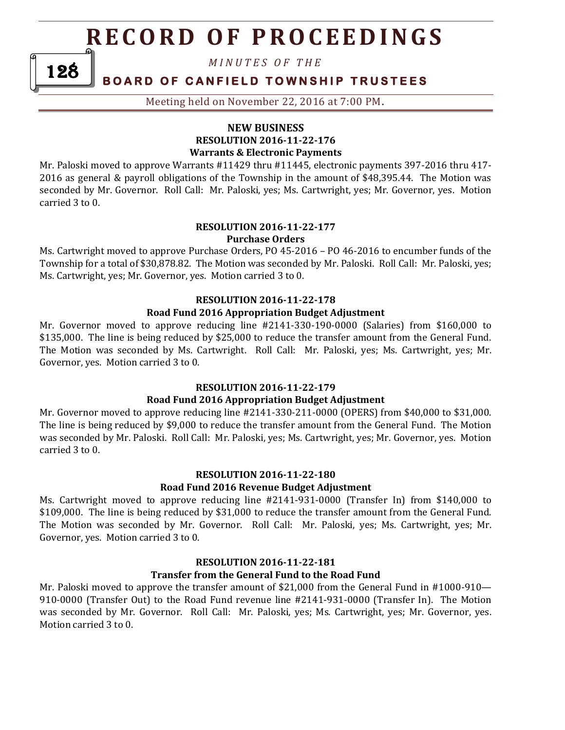# **R E C O RD O F P R O C E E D I N G S**

*M I N U T E S O F T H E* 

**BOARD OF CANFIELD TOWNSHIP TRUSTEES** 

128

Meeting held on November 22, 2016 at 7:00 PM**.**

## **NEW BUSINESS RESOLUTION 2016-11-22-176 Warrants & Electronic Payments**

Mr. Paloski moved to approve Warrants #11429 thru #11445, electronic payments 397-2016 thru 417- 2016 as general & payroll obligations of the Township in the amount of \$48,395.44. The Motion was seconded by Mr. Governor. Roll Call: Mr. Paloski, yes; Ms. Cartwright, yes; Mr. Governor, yes. Motion carried 3 to 0.

#### **RESOLUTION 2016-11-22-177 Purchase Orders**

Ms. Cartwright moved to approve Purchase Orders, PO 45-2016 – PO 46-2016 to encumber funds of the Township for a total of \$30,878.82. The Motion was seconded by Mr. Paloski. Roll Call: Mr. Paloski, yes; Ms. Cartwright, yes; Mr. Governor, yes. Motion carried 3 to 0.

## **RESOLUTION 2016-11-22-178**

## **Road Fund 2016 Appropriation Budget Adjustment**

Mr. Governor moved to approve reducing line #2141-330-190-0000 (Salaries) from \$160,000 to \$135,000. The line is being reduced by \$25,000 to reduce the transfer amount from the General Fund. The Motion was seconded by Ms. Cartwright. Roll Call: Mr. Paloski, yes; Ms. Cartwright, yes; Mr. Governor, yes. Motion carried 3 to 0.

## **RESOLUTION 2016-11-22-179**

## **Road Fund 2016 Appropriation Budget Adjustment**

Mr. Governor moved to approve reducing line #2141-330-211-0000 (OPERS) from \$40,000 to \$31,000. The line is being reduced by \$9,000 to reduce the transfer amount from the General Fund. The Motion was seconded by Mr. Paloski. Roll Call: Mr. Paloski, yes; Ms. Cartwright, yes; Mr. Governor, yes. Motion carried 3 to 0.

#### **RESOLUTION 2016-11-22-180 Road Fund 2016 Revenue Budget Adjustment**

Ms. Cartwright moved to approve reducing line #2141-931-0000 (Transfer In) from \$140,000 to \$109,000. The line is being reduced by \$31,000 to reduce the transfer amount from the General Fund. The Motion was seconded by Mr. Governor. Roll Call: Mr. Paloski, yes; Ms. Cartwright, yes; Mr. Governor, yes. Motion carried 3 to 0.

## **RESOLUTION 2016-11-22-181**

## **Transfer from the General Fund to the Road Fund**

Mr. Paloski moved to approve the transfer amount of \$21,000 from the General Fund in #1000-910— 910-0000 (Transfer Out) to the Road Fund revenue line #2141-931-0000 (Transfer In). The Motion was seconded by Mr. Governor. Roll Call: Mr. Paloski, yes; Ms. Cartwright, yes; Mr. Governor, yes. Motion carried 3 to 0.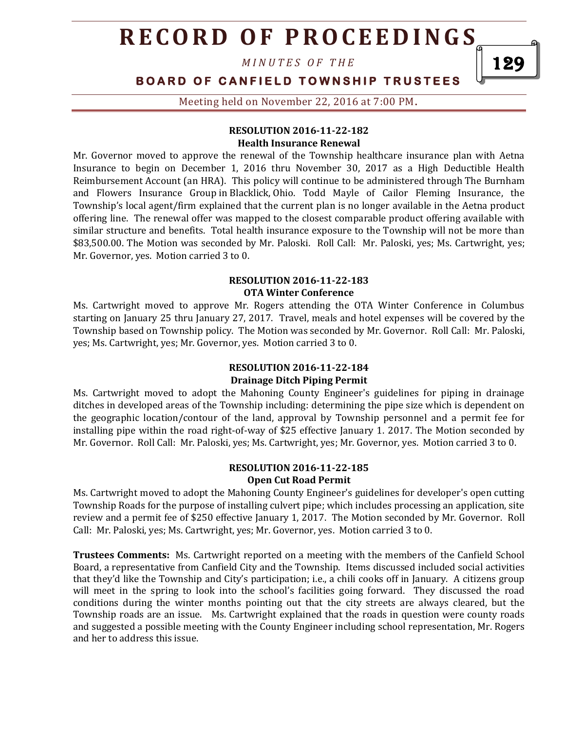# **R E C O R D O F P R O C E E D I N GS**

*M I N U T E S O F T H E* 

**BOARD OF CANFIELD TOWNSHIP TRUSTEES** 

Meeting held on November 22, 2016 at 7:00 PM**.**

#### **RESOLUTION 2016-11-22-182 Health Insurance Renewal**

Mr. Governor moved to approve the renewal of the Township healthcare insurance plan with Aetna Insurance to begin on December 1, 2016 thru November 30, 2017 as a High Deductible Health Reimbursement Account (an HRA). This policy will continue to be administered through The Burnham and Flowers Insurance Group in Blacklick, Ohio. Todd Mayle of Cailor Fleming Insurance, the Township's local agent/firm explained that the current plan is no longer available in the Aetna product offering line. The renewal offer was mapped to the closest comparable product offering available with similar structure and benefits. Total health insurance exposure to the Township will not be more than \$83,500.00. The Motion was seconded by Mr. Paloski. Roll Call: Mr. Paloski, yes; Ms. Cartwright, yes; Mr. Governor, yes. Motion carried 3 to 0.

#### **RESOLUTION 2016-11-22-183 OTA Winter Conference**

Ms. Cartwright moved to approve Mr. Rogers attending the OTA Winter Conference in Columbus starting on January 25 thru January 27, 2017. Travel, meals and hotel expenses will be covered by the Township based on Township policy. The Motion was seconded by Mr. Governor. Roll Call: Mr. Paloski, yes; Ms. Cartwright, yes; Mr. Governor, yes. Motion carried 3 to 0.

## **RESOLUTION 2016-11-22-184 Drainage Ditch Piping Permit**

Ms. Cartwright moved to adopt the Mahoning County Engineer's guidelines for piping in drainage ditches in developed areas of the Township including: determining the pipe size which is dependent on the geographic location/contour of the land, approval by Township personnel and a permit fee for installing pipe within the road right-of-way of \$25 effective January 1. 2017. The Motion seconded by Mr. Governor. Roll Call: Mr. Paloski, yes; Ms. Cartwright, yes; Mr. Governor, yes. Motion carried 3 to 0.

## **RESOLUTION 2016-11-22-185 Open Cut Road Permit**

Ms. Cartwright moved to adopt the Mahoning County Engineer's guidelines for developer's open cutting Township Roads for the purpose of installing culvert pipe; which includes processing an application, site review and a permit fee of \$250 effective January 1, 2017. The Motion seconded by Mr. Governor. Roll Call: Mr. Paloski, yes; Ms. Cartwright, yes; Mr. Governor, yes. Motion carried 3 to 0.

**Trustees Comments:** Ms. Cartwright reported on a meeting with the members of the Canfield School Board, a representative from Canfield City and the Township. Items discussed included social activities that they'd like the Township and City's participation; i.e., a chili cooks off in January. A citizens group will meet in the spring to look into the school's facilities going forward. They discussed the road conditions during the winter months pointing out that the city streets are always cleared, but the Township roads are an issue. Ms. Cartwright explained that the roads in question were county roads and suggested a possible meeting with the County Engineer including school representation, Mr. Rogers and her to address this issue.

129